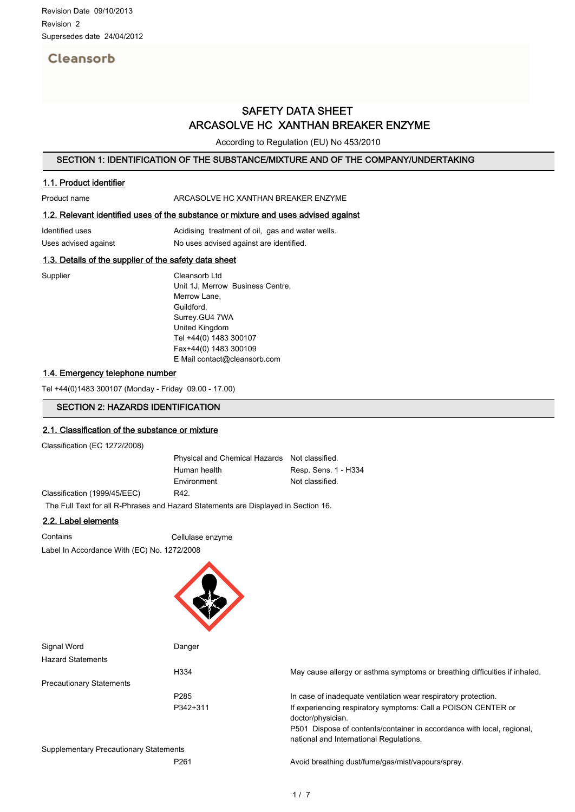# Cleansorb

# SAFETY DATA SHEET ARCASOLVE HC XANTHAN BREAKER ENZYME

According to Regulation (EU) No 453/2010

### SECTION 1: IDENTIFICATION OF THE SUBSTANCE/MIXTURE AND OF THE COMPANY/UNDERTAKING

# 1.1. Product identifier

#### Product name **ARCASOLVE HC XANTHAN BREAKER ENZYME**

# 1.2. Relevant identified uses of the substance or mixture and uses advised against

| Identified uses      | Acidising treatment of oil, gas and water wells. |
|----------------------|--------------------------------------------------|
| Uses advised against | No uses advised against are identified.          |

## 1.3. Details of the supplier of the safety data sheet

Supplier Cleansorb Ltd Unit 1J, Merrow Business Centre, Merrow Lane, Guildford. Surrey.GU4 7WA United Kingdom Tel +44(0) 1483 300107 Fax+44(0) 1483 300109 E Mail contact@cleansorb.com

## 1.4. Emergency telephone number

Tel +44(0)1483 300107 (Monday - Friday 09.00 - 17.00)

## SECTION 2: HAZARDS IDENTIFICATION

#### 2.1. Classification of the substance or mixture

Classification (EC 1272/2008)

Physical and Chemical Hazards Not classified. Human health Resp. Sens. 1 - H334 Environment Not classified. Classification (1999/45/EEC) R42.

The Full Text for all R-Phrases and Hazard Statements are Displayed in Section 16.

# 2.2. Label elements

Contains Cellulase enzyme Label In Accordance With (EC) No. 1272/2008

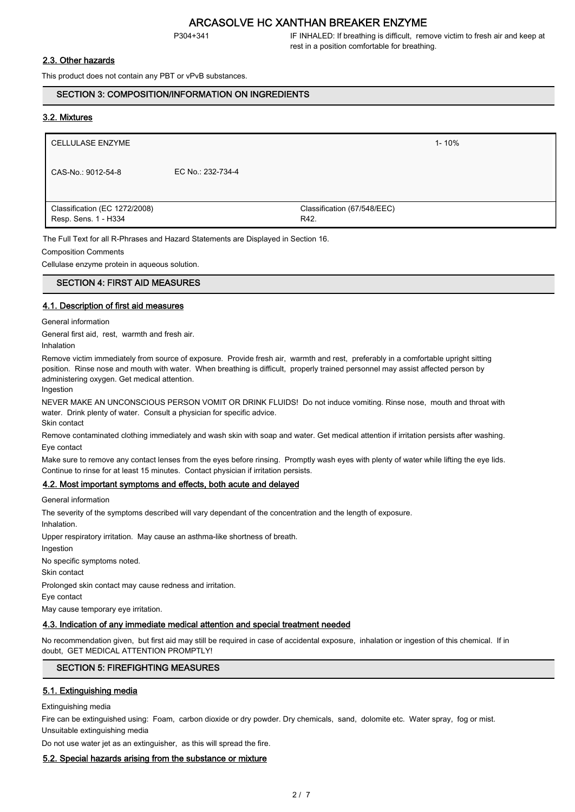P304+341 IF INHALED: If breathing is difficult, remove victim to fresh air and keep at rest in a position comfortable for breathing.

### 2.3. Other hazards

This product does not contain any PBT or vPvB substances.

#### SECTION 3: COMPOSITION/INFORMATION ON INGREDIENTS

#### 3.2. Mixtures

| <b>CELLULASE ENZYME</b>                               |                   |                                     | $1 - 10%$ |
|-------------------------------------------------------|-------------------|-------------------------------------|-----------|
| CAS-No.: 9012-54-8                                    | EC No.: 232-734-4 |                                     |           |
|                                                       |                   |                                     |           |
| Classification (EC 1272/2008)<br>Resp. Sens. 1 - H334 |                   | Classification (67/548/EEC)<br>R42. |           |

The Full Text for all R-Phrases and Hazard Statements are Displayed in Section 16.

Composition Comments

Cellulase enzyme protein in aqueous solution.

## SECTION 4: FIRST AID MEASURES

#### 4.1. Description of first aid measures

General information

General first aid, rest, warmth and fresh air.

Inhalation

Remove victim immediately from source of exposure. Provide fresh air, warmth and rest, preferably in a comfortable upright sitting position. Rinse nose and mouth with water. When breathing is difficult, properly trained personnel may assist affected person by administering oxygen. Get medical attention.

Ingestion

NEVER MAKE AN UNCONSCIOUS PERSON VOMIT OR DRINK FLUIDS! Do not induce vomiting. Rinse nose, mouth and throat with water. Drink plenty of water. Consult a physician for specific advice. Skin contact

Remove contaminated clothing immediately and wash skin with soap and water. Get medical attention if irritation persists after washing. Eye contact

Make sure to remove any contact lenses from the eyes before rinsing. Promptly wash eyes with plenty of water while lifting the eye lids. Continue to rinse for at least 15 minutes. Contact physician if irritation persists.

#### 4.2. Most important symptoms and effects, both acute and delayed

General information

The severity of the symptoms described will vary dependant of the concentration and the length of exposure.

Inhalation.

Upper respiratory irritation. May cause an asthma-like shortness of breath.

Ingestion

No specific symptoms noted.

Skin contact

Prolonged skin contact may cause redness and irritation.

Eye contact

May cause temporary eye irritation.

#### 4.3. Indication of any immediate medical attention and special treatment needed

No recommendation given, but first aid may still be required in case of accidental exposure, inhalation or ingestion of this chemical. If in doubt, GET MEDICAL ATTENTION PROMPTLY!

#### SECTION 5: FIREFIGHTING MEASURES

#### 5.1. Extinguishing media

Extinguishing media

Fire can be extinguished using: Foam, carbon dioxide or dry powder. Dry chemicals, sand, dolomite etc. Water spray, fog or mist. Unsuitable extinguishing media

Do not use water jet as an extinguisher, as this will spread the fire.

#### 5.2. Special hazards arising from the substance or mixture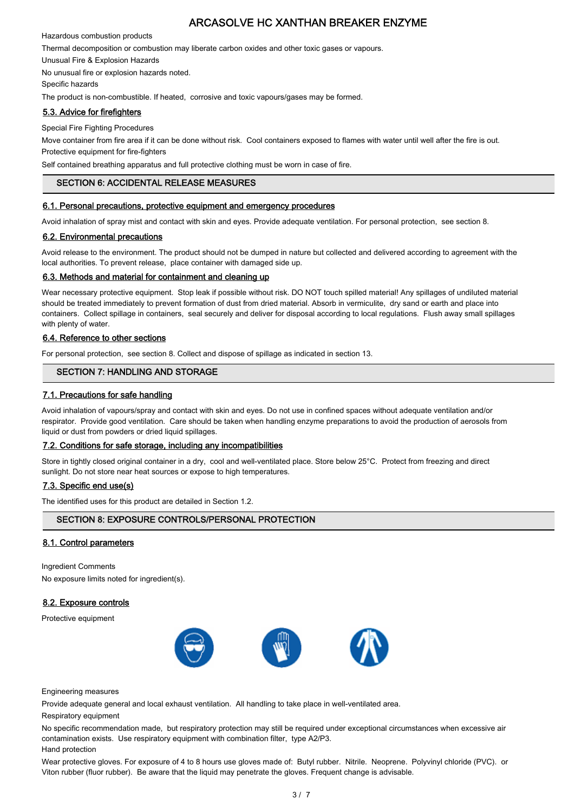Hazardous combustion products

Thermal decomposition or combustion may liberate carbon oxides and other toxic gases or vapours.

Unusual Fire & Explosion Hazards

No unusual fire or explosion hazards noted.

Specific hazards

The product is non-combustible. If heated, corrosive and toxic vapours/gases may be formed.

## 5.3. Advice for firefighters

Special Fire Fighting Procedures

Move container from fire area if it can be done without risk. Cool containers exposed to flames with water until well after the fire is out. Protective equipment for fire-fighters

Self contained breathing apparatus and full protective clothing must be worn in case of fire.

# SECTION 6: ACCIDENTAL RELEASE MEASURES

#### 6.1. Personal precautions, protective equipment and emergency procedures

Avoid inhalation of spray mist and contact with skin and eyes. Provide adequate ventilation. For personal protection, see section 8.

## 6.2. Environmental precautions

Avoid release to the environment. The product should not be dumped in nature but collected and delivered according to agreement with the local authorities. To prevent release, place container with damaged side up.

## 6.3. Methods and material for containment and cleaning up

Wear necessary protective equipment. Stop leak if possible without risk. DO NOT touch spilled material! Any spillages of undiluted material should be treated immediately to prevent formation of dust from dried material. Absorb in vermiculite, dry sand or earth and place into containers. Collect spillage in containers, seal securely and deliver for disposal according to local regulations. Flush away small spillages with plenty of water.

## 6.4. Reference to other sections

For personal protection, see section 8. Collect and dispose of spillage as indicated in section 13.

# SECTION 7: HANDLING AND STORAGE

## 7.1. Precautions for safe handling

Avoid inhalation of vapours/spray and contact with skin and eyes. Do not use in confined spaces without adequate ventilation and/or respirator. Provide good ventilation. Care should be taken when handling enzyme preparations to avoid the production of aerosols from liquid or dust from powders or dried liquid spillages.

#### 7.2. Conditions for safe storage, including any incompatibilities

Store in tightly closed original container in a dry, cool and well-ventilated place. Store below 25°C. Protect from freezing and direct sunlight. Do not store near heat sources or expose to high temperatures.

#### 7.3. Specific end use(s)

The identified uses for this product are detailed in Section 1.2.

# SECTION 8: EXPOSURE CONTROLS/PERSONAL PROTECTION

#### 8.1. Control parameters

Ingredient Comments

No exposure limits noted for ingredient(s).

# 8.2. Exposure controls

Protective equipment



Engineering measures

Provide adequate general and local exhaust ventilation. All handling to take place in well-ventilated area.

#### Respiratory equipment

No specific recommendation made, but respiratory protection may still be required under exceptional circumstances when excessive air contamination exists. Use respiratory equipment with combination filter, type A2/P3. Hand protection

Wear protective gloves. For exposure of 4 to 8 hours use gloves made of: Butyl rubber. Nitrile. Neoprene. Polyvinyl chloride (PVC). or Viton rubber (fluor rubber). Be aware that the liquid may penetrate the gloves. Frequent change is advisable.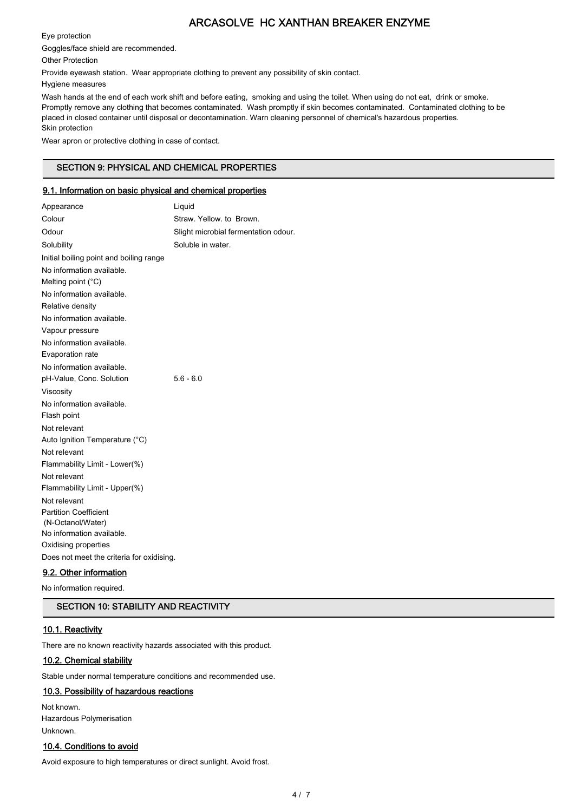Eye protection

Goggles/face shield are recommended.

Other Protection

Provide eyewash station. Wear appropriate clothing to prevent any possibility of skin contact.

Hygiene measures

Wash hands at the end of each work shift and before eating, smoking and using the toilet. When using do not eat, drink or smoke. Promptly remove any clothing that becomes contaminated. Wash promptly if skin becomes contaminated. Contaminated clothing to be placed in closed container until disposal or decontamination. Warn cleaning personnel of chemical's hazardous properties. Skin protection

Wear apron or protective clothing in case of contact.

# SECTION 9: PHYSICAL AND CHEMICAL PROPERTIES

# 9.1. Information on basic physical and chemical properties

| Appearance                                     | Liquid                               |
|------------------------------------------------|--------------------------------------|
| Colour                                         | Straw. Yellow. to Brown.             |
| Odour                                          | Slight microbial fermentation odour. |
| Solubility                                     | Soluble in water.                    |
| Initial boiling point and boiling range        |                                      |
| No information available.                      |                                      |
| Melting point (°C)                             |                                      |
| No information available.                      |                                      |
| Relative density                               |                                      |
| No information available.                      |                                      |
| Vapour pressure                                |                                      |
| No information available.                      |                                      |
| Evaporation rate                               |                                      |
| No information available.                      |                                      |
| pH-Value, Conc. Solution                       | $5.6 - 6.0$                          |
| Viscosity                                      |                                      |
| No information available.                      |                                      |
| Flash point                                    |                                      |
| Not relevant                                   |                                      |
| Auto Ignition Temperature (°C)                 |                                      |
| Not relevant                                   |                                      |
| Flammability Limit - Lower(%)                  |                                      |
| Not relevant                                   |                                      |
| Flammability Limit - Upper(%)                  |                                      |
| Not relevant                                   |                                      |
| <b>Partition Coefficient</b>                   |                                      |
| (N-Octanol/Water)<br>No information available. |                                      |
| Oxidising properties                           |                                      |
| Does not meet the criteria for oxidising.      |                                      |
| Q 2 Other information                          |                                      |
|                                                |                                      |

## <u>9.2. Other information</u>

No information required.

# SECTION 10: STABILITY AND REACTIVITY

#### 10.1. Reactivity

There are no known reactivity hazards associated with this product.

## 10.2. Chemical stability

Stable under normal temperature conditions and recommended use.

# 10.3. Possibility of hazardous reactions

Not known. Hazardous Polymerisation Unknown.

# 10.4. Conditions to avoid

Avoid exposure to high temperatures or direct sunlight. Avoid frost.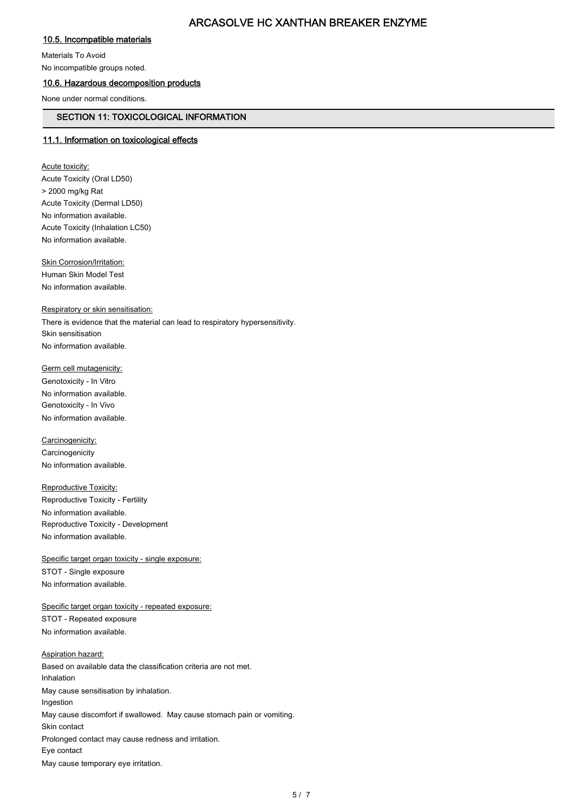# 10.5. Incompatible materials

Materials To Avoid

No incompatible groups noted.

# 10.6. Hazardous decomposition products

None under normal conditions.

# SECTION 11: TOXICOLOGICAL INFORMATION

# 11.1. Information on toxicological effects

**Acute toxicity:** Acute Toxicity (Oral LD50) > 2000 mg/kg Rat Acute Toxicity (Dermal LD50) No information available. Acute Toxicity (Inhalation LC50) No information available.

**Skin Corrosion/Irritation:** 

Human Skin Model Test No information available.

#### Respiratory or skin sensitisation:

There is evidence that the material can lead to respiratory hypersensitivity. Skin sensitisation No information available.

Germ cell mutagenicity: Genotoxicity - In Vitro No information available. Genotoxicity - In Vivo No information available.

Carcinogenicity: **Carcinogenicity** No information available.

Reproductive Toxicity: Reproductive Toxicity - Fertility No information available. Reproductive Toxicity - Development No information available.

Specific target organ toxicity - single exposure: STOT - Single exposure No information available.

Specific target organ toxicity - repeated exposure: STOT - Repeated exposure No information available.

Aspiration hazard: Based on available data the classification criteria are not met. Inhalation May cause sensitisation by inhalation. Ingestion May cause discomfort if swallowed. May cause stomach pain or vomiting. Skin contact Prolonged contact may cause redness and irritation. Eye contact May cause temporary eye irritation.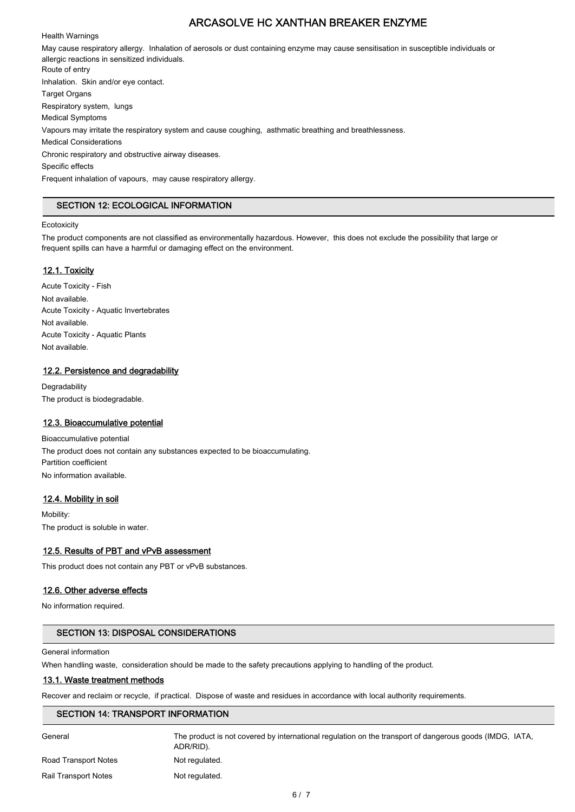#### Health Warnings

May cause respiratory allergy. Inhalation of aerosols or dust containing enzyme may cause sensitisation in susceptible individuals or allergic reactions in sensitized individuals. Route of entry Inhalation. Skin and/or eye contact. Target Organs Respiratory system, lungs Medical Symptoms Vapours may irritate the respiratory system and cause coughing, asthmatic breathing and breathlessness. Medical Considerations Chronic respiratory and obstructive airway diseases. Specific effects Frequent inhalation of vapours, may cause respiratory allergy.

# SECTION 12: ECOLOGICAL INFORMATION

#### **Ecotoxicity**

The product components are not classified as environmentally hazardous. However, this does not exclude the possibility that large or frequent spills can have a harmful or damaging effect on the environment.

## 12.1. Toxicity

Acute Toxicity - Fish Not available. Acute Toxicity - Aquatic Invertebrates Not available. Acute Toxicity - Aquatic Plants Not available.

## 12.2. Persistence and degradability

**Degradability** The product is biodegradable.

#### 12.3. Bioaccumulative potential

Bioaccumulative potential The product does not contain any substances expected to be bioaccumulating. Partition coefficient No information available.

# 12.4. Mobility in soil

Mobility: The product is soluble in water.

#### 12.5. Results of PBT and vPvB assessment

This product does not contain any PBT or vPvB substances.

# 12.6. Other adverse effects

No information required.

# SECTION 13: DISPOSAL CONSIDERATIONS

#### General information

When handling waste, consideration should be made to the safety precautions applying to handling of the product.

#### 13.1. Waste treatment methods

Recover and reclaim or recycle, if practical. Dispose of waste and residues in accordance with local authority requirements.

## SECTION 14: TRANSPORT INFORMATION

General Superal The product is not covered by international regulation on the transport of dangerous goods (IMDG, IATA, ADR/RID). Road Transport Notes Not regulated. Rail Transport Notes Not regulated.